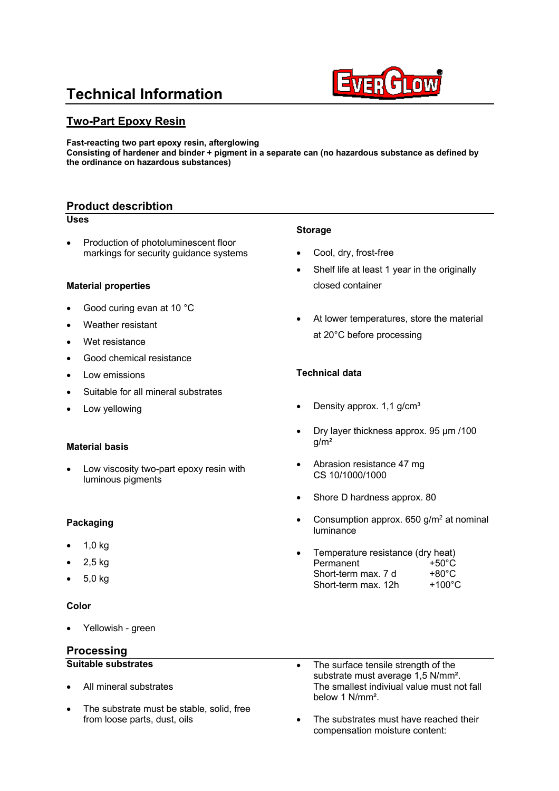# **Technical Information**



## **Two-Part Epoxy Resin**

**Fast-reacting two part epoxy resin, afterglowing Consisting of hardener and binder + pigment in a separate can (no hazardous substance as defined by the ordinance on hazardous substances)**

## **Product describtion**

#### **Uses**

• Production of photoluminescent floor markings for security guidance systems

## **Material properties**

- Good curing evan at 10 °C
- Weather resistant
- Wet resistance
- Good chemical resistance
- Low emissions
- Suitable for all mineral substrates
- Low yellowing

#### **Material basis**

Low viscosity two-part epoxy resin with luminous pigments

## **Packaging**

- 1,0 kg
- 2,5 kg
- 5,0 kg

#### **Color**

Yellowish - green

## **Processing**

## **Suitable substrates**

- All mineral substrates
- The substrate must be stable, solid, free from loose parts, dust, oils

#### **Storage**

- Cool, drv, frost-free
- Shelf life at least 1 year in the originally closed container
- At lower temperatures, store the material at 20°C before processing

## **Technical data**

- Density approx. 1,1 g/cm<sup>3</sup>
- Dry layer thickness approx. 95 µm /100 g/m²
- Abrasion resistance 47 mg CS 10/1000/1000
- Shore D hardness approx. 80
- Consumption approx.  $650$  g/m<sup>2</sup> at nominal luminance
- Temperature resistance (dry heat) Permanent  $+50^{\circ}$ C Short-term max.  $7 d +80^{\circ}C$ Short-term max.  $12h +100°C$
- The surface tensile strength of the substrate must average 1,5 N/mm<sup>2</sup>. The smallest indiviual value must not fall below 1 N/mm².
- The substrates must have reached their compensation moisture content: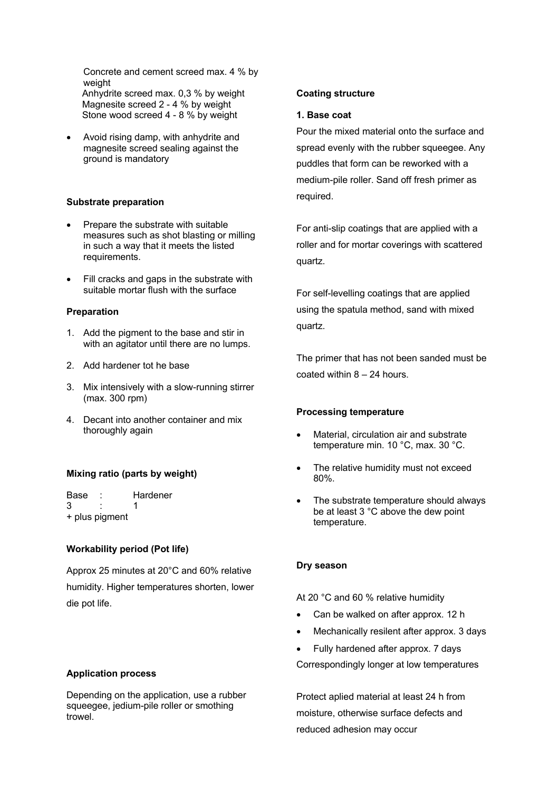Concrete and cement screed max. 4 % by weight Anhydrite screed max. 0,3 % by weight Magnesite screed 2 - 4 % by weight Stone wood screed 4 - 8 % by weight

• Avoid rising damp, with anhydrite and magnesite screed sealing against the ground is mandatory

#### **Substrate preparation**

- Prepare the substrate with suitable measures such as shot blasting or milling in such a way that it meets the listed requirements.
- Fill cracks and gaps in the substrate with suitable mortar flush with the surface

#### **Preparation**

- 1. Add the pigment to the base and stir in with an agitator until there are no lumps.
- 2. Add hardener tot he base
- 3. Mix intensively with a slow-running stirrer (max. 300 rpm)
- 4. Decant into another container and mix thoroughly again

## **Mixing ratio (parts by weight)**

Base : Hardener 3 : 1 + plus pigment

## **Workability period (Pot life)**

Approx 25 minutes at 20°C and 60% relative humidity. Higher temperatures shorten, lower die pot life.

#### **Application process**

Depending on the application, use a rubber squeegee, jedium-pile roller or smothing trowel.

#### **Coating structure**

#### **1. Base coat**

Pour the mixed material onto the surface and spread evenly with the rubber squeegee. Any puddles that form can be reworked with a medium-pile roller. Sand off fresh primer as required.

For anti-slip coatings that are applied with a roller and for mortar coverings with scattered quartz.

For self-levelling coatings that are applied using the spatula method, sand with mixed quartz.

The primer that has not been sanded must be coated within 8 – 24 hours.

#### **Processing temperature**

- Material, circulation air and substrate temperature min. 10 °C, max. 30 °C.
- The relative humidity must not exceed 80%.
- The substrate temperature should always be at least 3 °C above the dew point temperature.

#### **Dry season**

At 20 °C and 60 % relative humidity

- Can be walked on after approx. 12 h
- Mechanically resilent after approx. 3 days
- Fully hardened after approx. 7 days

Correspondingly longer at low temperatures

Protect aplied material at least 24 h from moisture, otherwise surface defects and reduced adhesion may occur